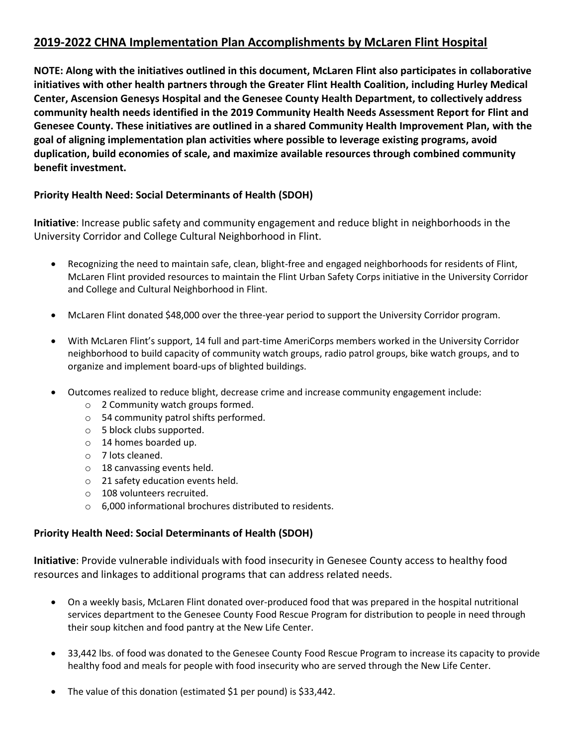# **2019-2022 CHNA Implementation Plan Accomplishments by McLaren Flint Hospital**

**NOTE: Along with the initiatives outlined in this document, McLaren Flint also participates in collaborative initiatives with other health partners through the Greater Flint Health Coalition, including Hurley Medical Center, Ascension Genesys Hospital and the Genesee County Health Department, to collectively address community health needs identified in the 2019 Community Health Needs Assessment Report for Flint and Genesee County. These initiatives are outlined in a shared Community Health Improvement Plan, with the goal of aligning implementation plan activities where possible to leverage existing programs, avoid duplication, build economies of scale, and maximize available resources through combined community benefit investment.**

# **Priority Health Need: Social Determinants of Health (SDOH)**

**Initiative**: Increase public safety and community engagement and reduce blight in neighborhoods in the University Corridor and College Cultural Neighborhood in Flint.

- Recognizing the need to maintain safe, clean, blight-free and engaged neighborhoods for residents of Flint, McLaren Flint provided resources to maintain the Flint Urban Safety Corps initiative in the University Corridor and College and Cultural Neighborhood in Flint.
- McLaren Flint donated \$48,000 over the three-year period to support the University Corridor program.
- With McLaren Flint's support, 14 full and part-time AmeriCorps members worked in the University Corridor neighborhood to build capacity of community watch groups, radio patrol groups, bike watch groups, and to organize and implement board-ups of blighted buildings.
- Outcomes realized to reduce blight, decrease crime and increase community engagement include:
	- o 2 Community watch groups formed.
	- o 54 community patrol shifts performed.
	- o 5 block clubs supported.
	- o 14 homes boarded up.
	- o 7 lots cleaned.
	- o 18 canvassing events held.
	- o 21 safety education events held.
	- o 108 volunteers recruited.
	- o 6,000 informational brochures distributed to residents.

# **Priority Health Need: Social Determinants of Health (SDOH)**

**Initiative**: Provide vulnerable individuals with food insecurity in Genesee County access to healthy food resources and linkages to additional programs that can address related needs.

- On a weekly basis, McLaren Flint donated over-produced food that was prepared in the hospital nutritional services department to the Genesee County Food Rescue Program for distribution to people in need through their soup kitchen and food pantry at the New Life Center.
- 33,442 lbs. of food was donated to the Genesee County Food Rescue Program to increase its capacity to provide healthy food and meals for people with food insecurity who are served through the New Life Center.
- The value of this donation (estimated \$1 per pound) is \$33,442.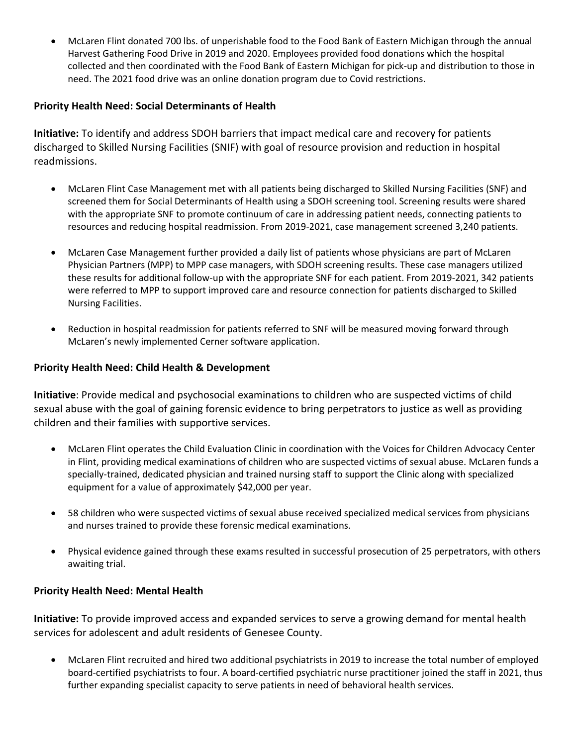• McLaren Flint donated 700 lbs. of unperishable food to the Food Bank of Eastern Michigan through the annual Harvest Gathering Food Drive in 2019 and 2020. Employees provided food donations which the hospital collected and then coordinated with the Food Bank of Eastern Michigan for pick-up and distribution to those in need. The 2021 food drive was an online donation program due to Covid restrictions.

# **Priority Health Need: Social Determinants of Health**

**Initiative:** To identify and address SDOH barriers that impact medical care and recovery for patients discharged to Skilled Nursing Facilities (SNIF) with goal of resource provision and reduction in hospital readmissions.

- McLaren Flint Case Management met with all patients being discharged to Skilled Nursing Facilities (SNF) and screened them for Social Determinants of Health using a SDOH screening tool. Screening results were shared with the appropriate SNF to promote continuum of care in addressing patient needs, connecting patients to resources and reducing hospital readmission. From 2019-2021, case management screened 3,240 patients.
- McLaren Case Management further provided a daily list of patients whose physicians are part of McLaren Physician Partners (MPP) to MPP case managers, with SDOH screening results. These case managers utilized these results for additional follow-up with the appropriate SNF for each patient. From 2019-2021, 342 patients were referred to MPP to support improved care and resource connection for patients discharged to Skilled Nursing Facilities.
- Reduction in hospital readmission for patients referred to SNF will be measured moving forward through McLaren's newly implemented Cerner software application.

## **Priority Health Need: Child Health & Development**

**Initiative**: Provide medical and psychosocial examinations to children who are suspected victims of child sexual abuse with the goal of gaining forensic evidence to bring perpetrators to justice as well as providing children and their families with supportive services.

- McLaren Flint operates the Child Evaluation Clinic in coordination with the Voices for Children Advocacy Center in Flint, providing medical examinations of children who are suspected victims of sexual abuse. McLaren funds a specially-trained, dedicated physician and trained nursing staff to support the Clinic along with specialized equipment for a value of approximately \$42,000 per year.
- 58 children who were suspected victims of sexual abuse received specialized medical services from physicians and nurses trained to provide these forensic medical examinations.
- Physical evidence gained through these exams resulted in successful prosecution of 25 perpetrators, with others awaiting trial.

## **Priority Health Need: Mental Health**

**Initiative:** To provide improved access and expanded services to serve a growing demand for mental health services for adolescent and adult residents of Genesee County.

• McLaren Flint recruited and hired two additional psychiatrists in 2019 to increase the total number of employed board-certified psychiatrists to four. A board-certified psychiatric nurse practitioner joined the staff in 2021, thus further expanding specialist capacity to serve patients in need of behavioral health services.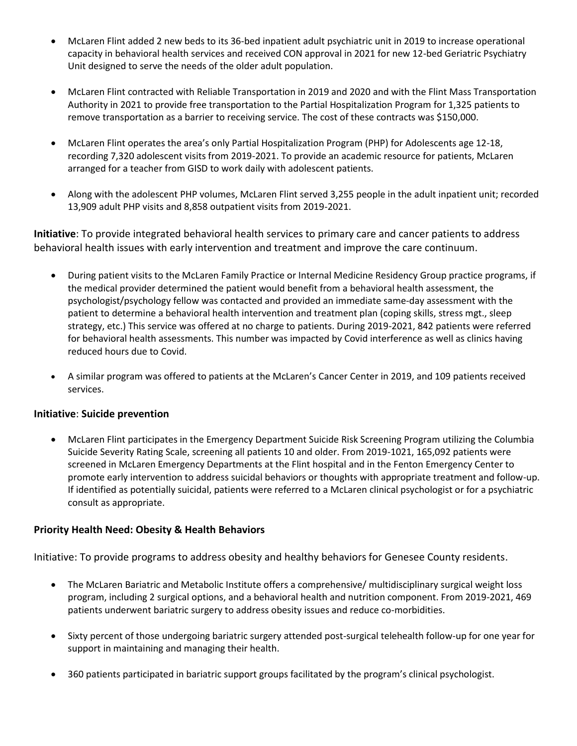- McLaren Flint added 2 new beds to its 36-bed inpatient adult psychiatric unit in 2019 to increase operational capacity in behavioral health services and received CON approval in 2021 for new 12-bed Geriatric Psychiatry Unit designed to serve the needs of the older adult population.
- McLaren Flint contracted with Reliable Transportation in 2019 and 2020 and with the Flint Mass Transportation Authority in 2021 to provide free transportation to the Partial Hospitalization Program for 1,325 patients to remove transportation as a barrier to receiving service. The cost of these contracts was \$150,000.
- McLaren Flint operates the area's only Partial Hospitalization Program (PHP) for Adolescents age 12-18, recording 7,320 adolescent visits from 2019-2021. To provide an academic resource for patients, McLaren arranged for a teacher from GISD to work daily with adolescent patients.
- Along with the adolescent PHP volumes, McLaren Flint served 3,255 people in the adult inpatient unit; recorded 13,909 adult PHP visits and 8,858 outpatient visits from 2019-2021.

**Initiative**: To provide integrated behavioral health services to primary care and cancer patients to address behavioral health issues with early intervention and treatment and improve the care continuum.

- During patient visits to the McLaren Family Practice or Internal Medicine Residency Group practice programs, if the medical provider determined the patient would benefit from a behavioral health assessment, the psychologist/psychology fellow was contacted and provided an immediate same-day assessment with the patient to determine a behavioral health intervention and treatment plan (coping skills, stress mgt., sleep strategy, etc.) This service was offered at no charge to patients. During 2019-2021, 842 patients were referred for behavioral health assessments. This number was impacted by Covid interference as well as clinics having reduced hours due to Covid.
- A similar program was offered to patients at the McLaren's Cancer Center in 2019, and 109 patients received services.

## **Initiative**: **Suicide prevention**

• McLaren Flint participates in the Emergency Department Suicide Risk Screening Program utilizing the Columbia Suicide Severity Rating Scale, screening all patients 10 and older. From 2019-1021, 165,092 patients were screened in McLaren Emergency Departments at the Flint hospital and in the Fenton Emergency Center to promote early intervention to address suicidal behaviors or thoughts with appropriate treatment and follow-up. If identified as potentially suicidal, patients were referred to a McLaren clinical psychologist or for a psychiatric consult as appropriate.

## **Priority Health Need: Obesity & Health Behaviors**

Initiative: To provide programs to address obesity and healthy behaviors for Genesee County residents.

- The McLaren Bariatric and Metabolic Institute offers a comprehensive/ multidisciplinary surgical weight loss program, including 2 surgical options, and a behavioral health and nutrition component. From 2019-2021, 469 patients underwent bariatric surgery to address obesity issues and reduce co-morbidities.
- Sixty percent of those undergoing bariatric surgery attended post-surgical telehealth follow-up for one year for support in maintaining and managing their health.
- 360 patients participated in bariatric support groups facilitated by the program's clinical psychologist.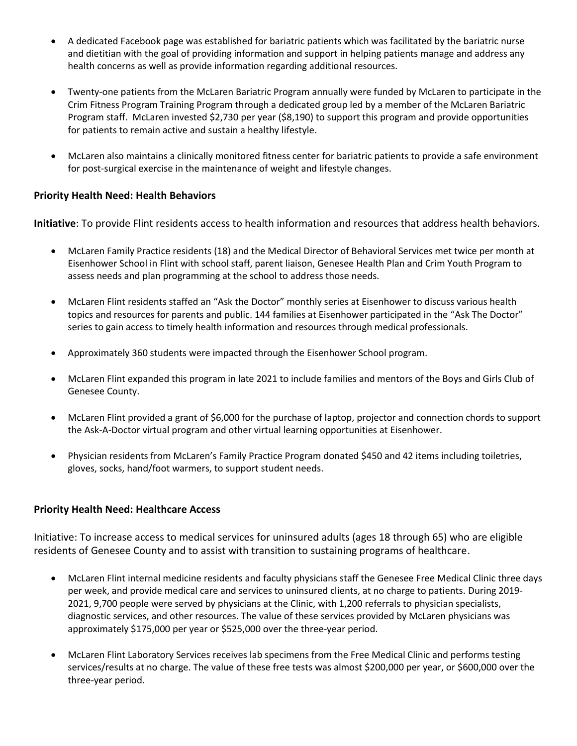- A dedicated Facebook page was established for bariatric patients which was facilitated by the bariatric nurse and dietitian with the goal of providing information and support in helping patients manage and address any health concerns as well as provide information regarding additional resources.
- Twenty-one patients from the McLaren Bariatric Program annually were funded by McLaren to participate in the Crim Fitness Program Training Program through a dedicated group led by a member of the McLaren Bariatric Program staff. McLaren invested \$2,730 per year (\$8,190) to support this program and provide opportunities for patients to remain active and sustain a healthy lifestyle.
- McLaren also maintains a clinically monitored fitness center for bariatric patients to provide a safe environment for post-surgical exercise in the maintenance of weight and lifestyle changes.

## **Priority Health Need: Health Behaviors**

**Initiative**: To provide Flint residents access to health information and resources that address health behaviors.

- McLaren Family Practice residents (18) and the Medical Director of Behavioral Services met twice per month at Eisenhower School in Flint with school staff, parent liaison, Genesee Health Plan and Crim Youth Program to assess needs and plan programming at the school to address those needs.
- McLaren Flint residents staffed an "Ask the Doctor" monthly series at Eisenhower to discuss various health topics and resources for parents and public. 144 families at Eisenhower participated in the "Ask The Doctor" series to gain access to timely health information and resources through medical professionals.
- Approximately 360 students were impacted through the Eisenhower School program.
- McLaren Flint expanded this program in late 2021 to include families and mentors of the Boys and Girls Club of Genesee County.
- McLaren Flint provided a grant of \$6,000 for the purchase of laptop, projector and connection chords to support the Ask-A-Doctor virtual program and other virtual learning opportunities at Eisenhower.
- Physician residents from McLaren's Family Practice Program donated \$450 and 42 items including toiletries, gloves, socks, hand/foot warmers, to support student needs.

#### **Priority Health Need: Healthcare Access**

Initiative: To increase access to medical services for uninsured adults (ages 18 through 65) who are eligible residents of Genesee County and to assist with transition to sustaining programs of healthcare.

- McLaren Flint internal medicine residents and faculty physicians staff the Genesee Free Medical Clinic three days per week, and provide medical care and services to uninsured clients, at no charge to patients. During 2019- 2021, 9,700 people were served by physicians at the Clinic, with 1,200 referrals to physician specialists, diagnostic services, and other resources. The value of these services provided by McLaren physicians was approximately \$175,000 per year or \$525,000 over the three-year period.
- McLaren Flint Laboratory Services receives lab specimens from the Free Medical Clinic and performs testing services/results at no charge. The value of these free tests was almost \$200,000 per year, or \$600,000 over the three-year period.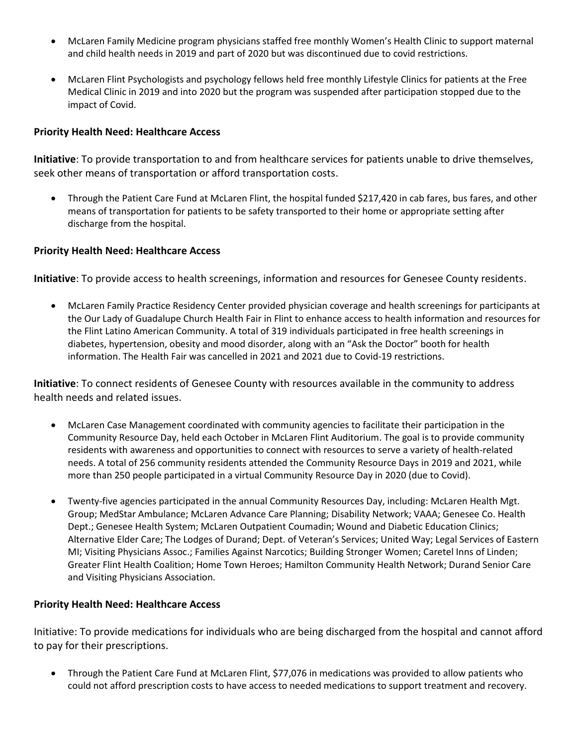- McLaren Family Medicine program physicians staffed free monthly Women's Health Clinic to support maternal and child health needs in 2019 and part of 2020 but was discontinued due to covid restrictions.
- McLaren Flint Psychologists and psychology fellows held free monthly Lifestyle Clinics for patients at the Free Medical Clinic in 2019 and into 2020 but the program was suspended after participation stopped due to the impact of Covid.

## **Priority Health Need: Healthcare Access**

**Initiative**: To provide transportation to and from healthcare services for patients unable to drive themselves, seek other means of transportation or afford transportation costs.

• Through the Patient Care Fund at McLaren Flint, the hospital funded \$217,420 in cab fares, bus fares, and other means of transportation for patients to be safety transported to their home or appropriate setting after discharge from the hospital.

#### **Priority Health Need: Healthcare Access**

**Initiative**: To provide access to health screenings, information and resources for Genesee County residents.

• McLaren Family Practice Residency Center provided physician coverage and health screenings for participants at the Our Lady of Guadalupe Church Health Fair in Flint to enhance access to health information and resources for the Flint Latino American Community. A total of 319 individuals participated in free health screenings in diabetes, hypertension, obesity and mood disorder, along with an "Ask the Doctor" booth for health information. The Health Fair was cancelled in 2021 and 2021 due to Covid-19 restrictions.

**Initiative**: To connect residents of Genesee County with resources available in the community to address health needs and related issues.

- McLaren Case Management coordinated with community agencies to facilitate their participation in the Community Resource Day, held each October in McLaren Flint Auditorium. The goal is to provide community residents with awareness and opportunities to connect with resources to serve a variety of health-related needs. A total of 256 community residents attended the Community Resource Days in 2019 and 2021, while more than 250 people participated in a virtual Community Resource Day in 2020 (due to Covid).
- Twenty-five agencies participated in the annual Community Resources Day, including: McLaren Health Mgt. Group; MedStar Ambulance; McLaren Advance Care Planning; Disability Network; VAAA; Genesee Co. Health Dept.; Genesee Health System; McLaren Outpatient Coumadin; Wound and Diabetic Education Clinics; Alternative Elder Care; The Lodges of Durand; Dept. of Veteran's Services; United Way; Legal Services of Eastern MI; Visiting Physicians Assoc.; Families Against Narcotics; Building Stronger Women; Caretel Inns of Linden; Greater Flint Health Coalition; Home Town Heroes; Hamilton Community Health Network; Durand Senior Care and Visiting Physicians Association.

#### **Priority Health Need: Healthcare Access**

Initiative: To provide medications for individuals who are being discharged from the hospital and cannot afford to pay for their prescriptions.

• Through the Patient Care Fund at McLaren Flint, \$77,076 in medications was provided to allow patients who could not afford prescription costs to have access to needed medications to support treatment and recovery.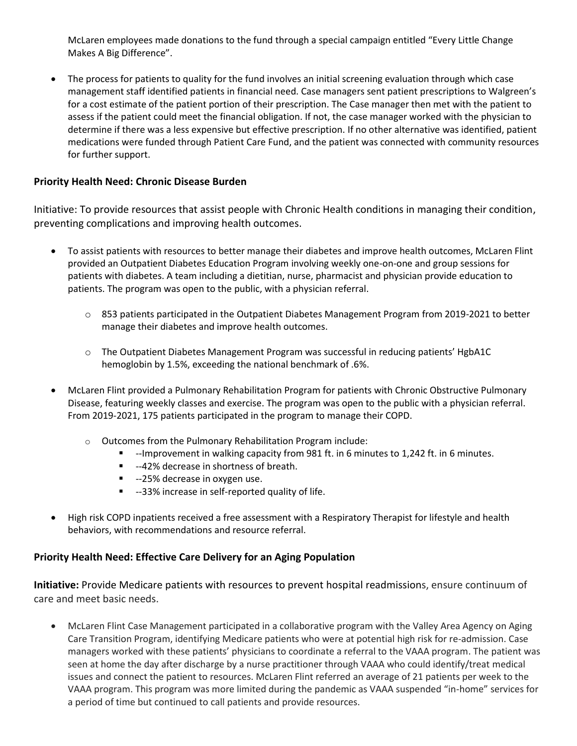McLaren employees made donations to the fund through a special campaign entitled "Every Little Change Makes A Big Difference".

• The process for patients to quality for the fund involves an initial screening evaluation through which case management staff identified patients in financial need. Case managers sent patient prescriptions to Walgreen's for a cost estimate of the patient portion of their prescription. The Case manager then met with the patient to assess if the patient could meet the financial obligation. If not, the case manager worked with the physician to determine if there was a less expensive but effective prescription. If no other alternative was identified, patient medications were funded through Patient Care Fund, and the patient was connected with community resources for further support.

#### **Priority Health Need: Chronic Disease Burden**

Initiative: To provide resources that assist people with Chronic Health conditions in managing their condition, preventing complications and improving health outcomes.

- To assist patients with resources to better manage their diabetes and improve health outcomes, McLaren Flint provided an Outpatient Diabetes Education Program involving weekly one-on-one and group sessions for patients with diabetes. A team including a dietitian, nurse, pharmacist and physician provide education to patients. The program was open to the public, with a physician referral.
	- o 853 patients participated in the Outpatient Diabetes Management Program from 2019-2021 to better manage their diabetes and improve health outcomes.
	- o The Outpatient Diabetes Management Program was successful in reducing patients' HgbA1C hemoglobin by 1.5%, exceeding the national benchmark of .6%.
- McLaren Flint provided a Pulmonary Rehabilitation Program for patients with Chronic Obstructive Pulmonary Disease, featuring weekly classes and exercise. The program was open to the public with a physician referral. From 2019-2021, 175 patients participated in the program to manage their COPD.
	- o Outcomes from the Pulmonary Rehabilitation Program include:
		- --Improvement in walking capacity from 981 ft. in 6 minutes to 1,242 ft. in 6 minutes.
		- --42% decrease in shortness of breath.
		- --25% decrease in oxygen use.
		- --33% increase in self-reported quality of life.
- High risk COPD inpatients received a free assessment with a Respiratory Therapist for lifestyle and health behaviors, with recommendations and resource referral.

## **Priority Health Need: Effective Care Delivery for an Aging Population**

**Initiative:** Provide Medicare patients with resources to prevent hospital readmissions, ensure continuum of care and meet basic needs.

• McLaren Flint Case Management participated in a collaborative program with the Valley Area Agency on Aging Care Transition Program, identifying Medicare patients who were at potential high risk for re-admission. Case managers worked with these patients' physicians to coordinate a referral to the VAAA program. The patient was seen at home the day after discharge by a nurse practitioner through VAAA who could identify/treat medical issues and connect the patient to resources. McLaren Flint referred an average of 21 patients per week to the VAAA program. This program was more limited during the pandemic as VAAA suspended "in-home" services for a period of time but continued to call patients and provide resources.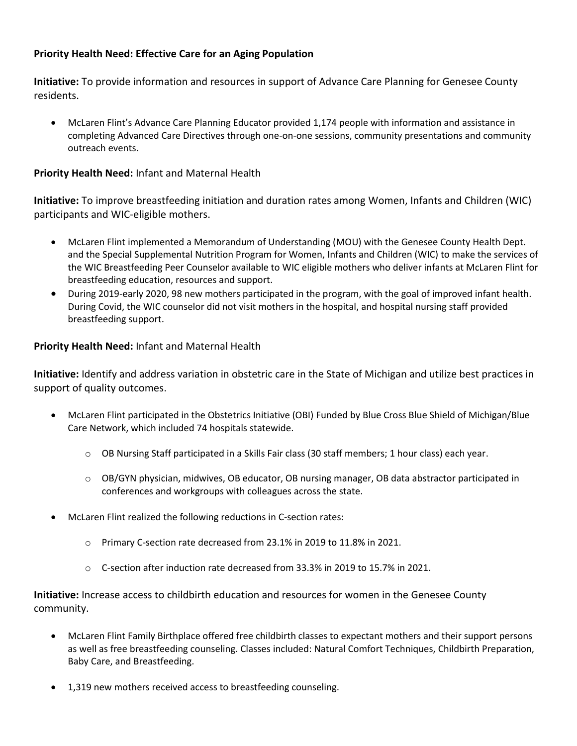# **Priority Health Need: Effective Care for an Aging Population**

**Initiative:** To provide information and resources in support of Advance Care Planning for Genesee County residents.

• McLaren Flint's Advance Care Planning Educator provided 1,174 people with information and assistance in completing Advanced Care Directives through one-on-one sessions, community presentations and community outreach events.

# **Priority Health Need:** Infant and Maternal Health

**Initiative:** To improve breastfeeding initiation and duration rates among Women, Infants and Children (WIC) participants and WIC-eligible mothers.

- McLaren Flint implemented a Memorandum of Understanding (MOU) with the Genesee County Health Dept. and the Special Supplemental Nutrition Program for Women, Infants and Children (WIC) to make the services of the WIC Breastfeeding Peer Counselor available to WIC eligible mothers who deliver infants at McLaren Flint for breastfeeding education, resources and support.
- During 2019-early 2020, 98 new mothers participated in the program, with the goal of improved infant health. During Covid, the WIC counselor did not visit mothers in the hospital, and hospital nursing staff provided breastfeeding support.

# **Priority Health Need:** Infant and Maternal Health

**Initiative:** Identify and address variation in obstetric care in the State of Michigan and utilize best practices in support of quality outcomes.

- McLaren Flint participated in the Obstetrics Initiative (OBI) Funded by Blue Cross Blue Shield of Michigan/Blue Care Network, which included 74 hospitals statewide.
	- $\circ$  OB Nursing Staff participated in a Skills Fair class (30 staff members; 1 hour class) each year.
	- o OB/GYN physician, midwives, OB educator, OB nursing manager, OB data abstractor participated in conferences and workgroups with colleagues across the state.
- McLaren Flint realized the following reductions in C-section rates:
	- o Primary C-section rate decreased from 23.1% in 2019 to 11.8% in 2021.
	- o C-section after induction rate decreased from 33.3% in 2019 to 15.7% in 2021.

**Initiative:** Increase access to childbirth education and resources for women in the Genesee County community.

- McLaren Flint Family Birthplace offered free childbirth classes to expectant mothers and their support persons as well as free breastfeeding counseling. Classes included: Natural Comfort Techniques, Childbirth Preparation, Baby Care, and Breastfeeding.
- 1,319 new mothers received access to breastfeeding counseling.